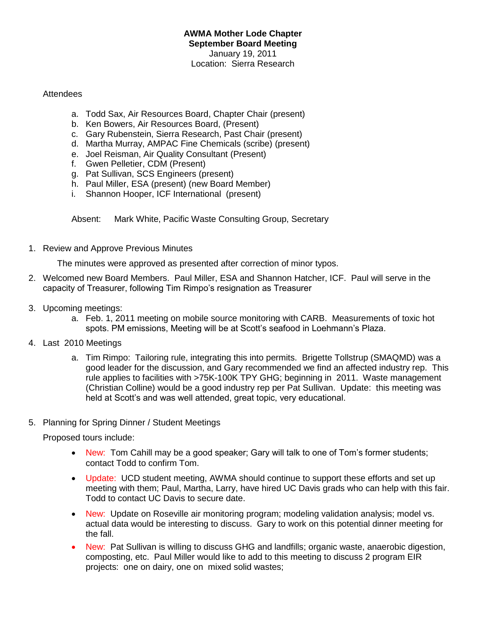## **AWMA Mother Lode Chapter September Board Meeting** January 19, 2011 Location: Sierra Research

## Attendees

- a. Todd Sax, Air Resources Board, Chapter Chair (present)
- b. Ken Bowers, Air Resources Board, (Present)
- c. Gary Rubenstein, Sierra Research, Past Chair (present)
- d. Martha Murray, AMPAC Fine Chemicals (scribe) (present)
- e. Joel Reisman, Air Quality Consultant (Present)
- f. Gwen Pelletier, CDM (Present)
- g. Pat Sullivan, SCS Engineers (present)
- h. Paul Miller, ESA (present) (new Board Member)
- i. Shannon Hooper, ICF International (present)

Absent: Mark White, Pacific Waste Consulting Group, Secretary

1. Review and Approve Previous Minutes

The minutes were approved as presented after correction of minor typos.

- 2. Welcomed new Board Members. Paul Miller, ESA and Shannon Hatcher, ICF. Paul will serve in the capacity of Treasurer, following Tim Rimpo's resignation as Treasurer
- 3. Upcoming meetings:
	- a. Feb. 1, 2011 meeting on mobile source monitoring with CARB. Measurements of toxic hot spots. PM emissions, Meeting will be at Scott's seafood in Loehmann's Plaza.
- 4. Last 2010 Meetings
	- a. Tim Rimpo: Tailoring rule, integrating this into permits. Brigette Tollstrup (SMAQMD) was a good leader for the discussion, and Gary recommended we find an affected industry rep. This rule applies to facilities with >75K-100K TPY GHG; beginning in 2011. Waste management (Christian Colline) would be a good industry rep per Pat Sullivan. Update: this meeting was held at Scott's and was well attended, great topic, very educational.
- 5. Planning for Spring Dinner / Student Meetings

Proposed tours include:

- New: Tom Cahill may be a good speaker; Gary will talk to one of Tom's former students; contact Todd to confirm Tom.
- Update: UCD student meeting, AWMA should continue to support these efforts and set up meeting with them; Paul, Martha, Larry, have hired UC Davis grads who can help with this fair. Todd to contact UC Davis to secure date.
- New: Update on Roseville air monitoring program; modeling validation analysis; model vs. actual data would be interesting to discuss. Gary to work on this potential dinner meeting for the fall.
- New: Pat Sullivan is willing to discuss GHG and landfills; organic waste, anaerobic digestion, composting, etc. Paul Miller would like to add to this meeting to discuss 2 program EIR projects: one on dairy, one on mixed solid wastes;